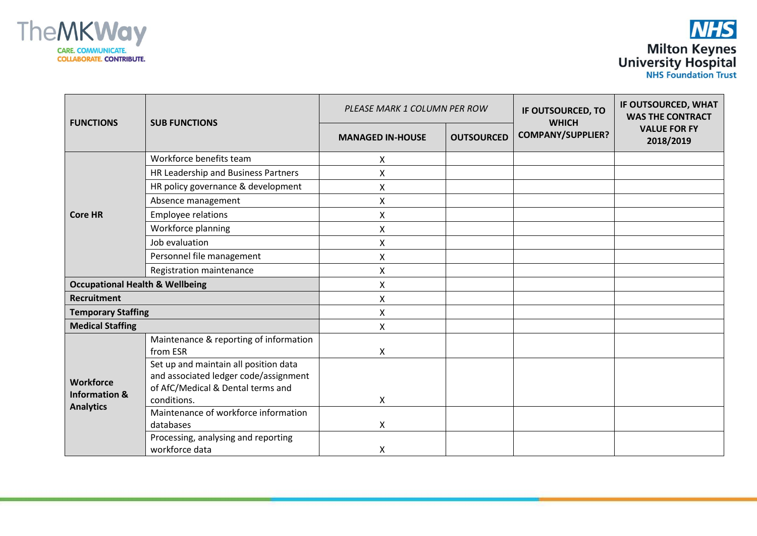



| <b>FUNCTIONS</b>                                                 | <b>SUB FUNCTIONS</b>                                                                                                               | PLEASE MARK 1 COLUMN PER ROW |                   | IF OUTSOURCED, TO                        | IF OUTSOURCED, WHAT<br><b>WAS THE CONTRACT</b> |
|------------------------------------------------------------------|------------------------------------------------------------------------------------------------------------------------------------|------------------------------|-------------------|------------------------------------------|------------------------------------------------|
|                                                                  |                                                                                                                                    | <b>MANAGED IN-HOUSE</b>      | <b>OUTSOURCED</b> | <b>WHICH</b><br><b>COMPANY/SUPPLIER?</b> | <b>VALUE FOR FY</b><br>2018/2019               |
| <b>Core HR</b>                                                   | Workforce benefits team                                                                                                            | X.                           |                   |                                          |                                                |
|                                                                  | HR Leadership and Business Partners                                                                                                | Χ                            |                   |                                          |                                                |
|                                                                  | HR policy governance & development                                                                                                 | X                            |                   |                                          |                                                |
|                                                                  | Absence management                                                                                                                 | X                            |                   |                                          |                                                |
|                                                                  | <b>Employee relations</b>                                                                                                          | X                            |                   |                                          |                                                |
|                                                                  | Workforce planning                                                                                                                 | X                            |                   |                                          |                                                |
|                                                                  | Job evaluation                                                                                                                     | X                            |                   |                                          |                                                |
|                                                                  | Personnel file management                                                                                                          | Χ                            |                   |                                          |                                                |
|                                                                  | Registration maintenance                                                                                                           | Χ                            |                   |                                          |                                                |
| <b>Occupational Health &amp; Wellbeing</b>                       |                                                                                                                                    | X                            |                   |                                          |                                                |
| <b>Recruitment</b>                                               |                                                                                                                                    | X                            |                   |                                          |                                                |
| <b>Temporary Staffing</b>                                        |                                                                                                                                    | X                            |                   |                                          |                                                |
| <b>Medical Staffing</b>                                          |                                                                                                                                    | X                            |                   |                                          |                                                |
| <b>Workforce</b><br><b>Information &amp;</b><br><b>Analytics</b> | Maintenance & reporting of information<br>from ESR                                                                                 | X                            |                   |                                          |                                                |
|                                                                  | Set up and maintain all position data<br>and associated ledger code/assignment<br>of AfC/Medical & Dental terms and<br>conditions. | X                            |                   |                                          |                                                |
|                                                                  | Maintenance of workforce information<br>databases                                                                                  | X                            |                   |                                          |                                                |
|                                                                  | Processing, analysing and reporting<br>workforce data                                                                              | X                            |                   |                                          |                                                |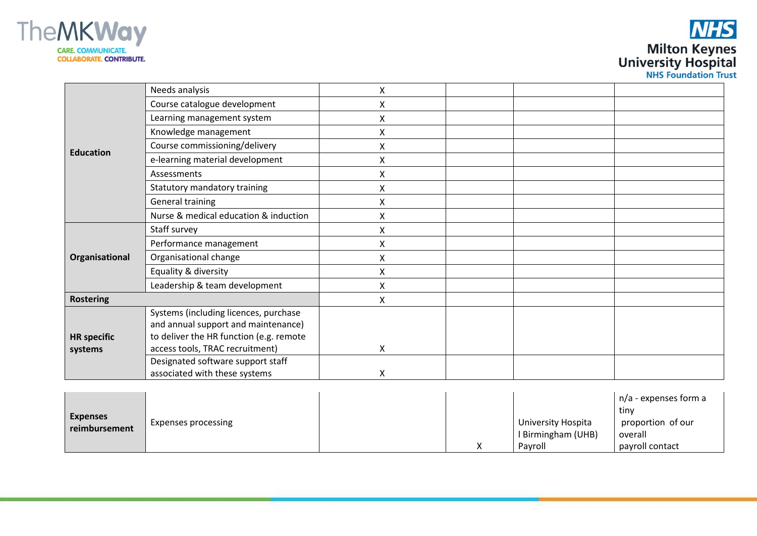



| <b>Education</b>              | Needs analysis                          | Χ |  |  |
|-------------------------------|-----------------------------------------|---|--|--|
|                               | Course catalogue development            | Χ |  |  |
|                               | Learning management system              | X |  |  |
|                               | Knowledge management                    | X |  |  |
|                               | Course commissioning/delivery           | X |  |  |
|                               | e-learning material development         | X |  |  |
|                               | Assessments                             | X |  |  |
|                               | Statutory mandatory training            | X |  |  |
|                               | <b>General training</b>                 | X |  |  |
|                               | Nurse & medical education & induction   | Χ |  |  |
| Organisational                | Staff survey                            | X |  |  |
|                               | Performance management                  | Χ |  |  |
|                               | Organisational change                   | X |  |  |
|                               | Equality & diversity                    | Χ |  |  |
|                               | Leadership & team development           | X |  |  |
| <b>Rostering</b>              |                                         | X |  |  |
| <b>HR</b> specific<br>systems | Systems (including licences, purchase   |   |  |  |
|                               | and annual support and maintenance)     |   |  |  |
|                               | to deliver the HR function (e.g. remote |   |  |  |
|                               | access tools, TRAC recruitment)         | X |  |  |
|                               | Designated software support staff       |   |  |  |
|                               | associated with these systems           | X |  |  |

| <b>Expenses</b><br>reimbursement | Expenses processing |  |                    | n/a - expenses form a |
|----------------------------------|---------------------|--|--------------------|-----------------------|
|                                  |                     |  |                    | tiny                  |
|                                  |                     |  | University Hospita | proportion of our     |
|                                  |                     |  | I Birmingham (UHB) | overall               |
|                                  |                     |  | Pavroll            | payroll contact       |